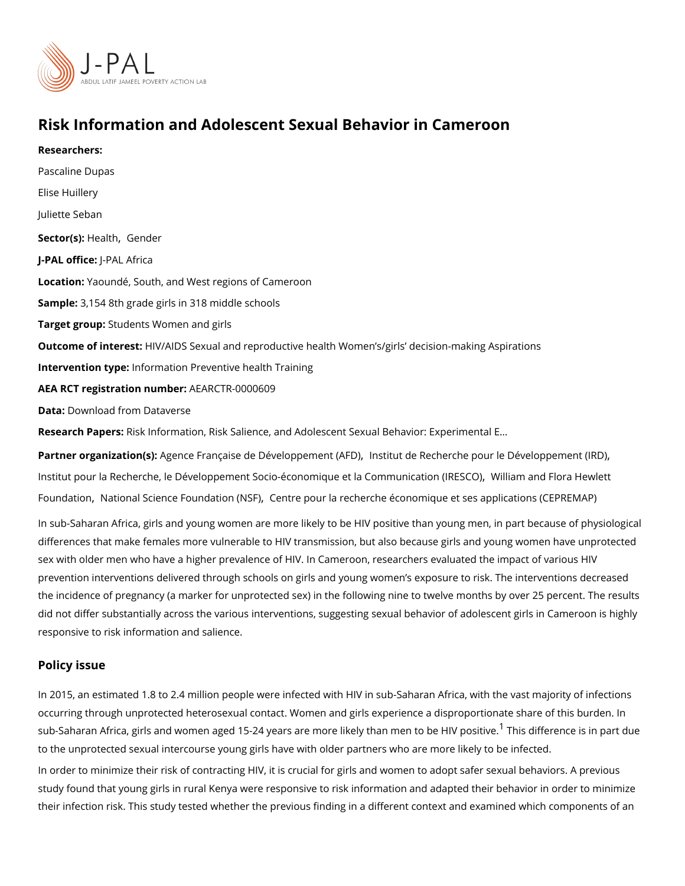## Risk Information and Adolescent Sexual Behavior in Camero

Researchers: [Pascaline](https://www.povertyactionlab.org/person/dupas) Dupas [Elise Hu](https://www.povertyactionlab.org/person/huillery)illery Juliette Seban Sector(Hst) alth[Gend](https://www.povertyactionlab.org/sector/gender)er J-PAL oftlicReAL Africa Locatio Maoundé, South, and West regions of Cameroon Sample: 154 8th grade girls in 318 middle schools Target gro& pudents Women and girls Outcome of inte He & talDS Sexual and reproductive health Women s/girls decision-making , Intervention typformation Preventive health Training AEA RCT registration ArEuAnRbCeTR-0000609 Data[Download from Da](https://dx.doi.org/10.7910/DVN/MLVGY9)taverse Research Pa<sub>Resk</sub>: Information, Risk Salience, and Adolescent Sexual Behavior: Experiment

Partner organizatAiogne (nsc)e Française de Dévelop bnesmt iet ut  $\beta$ Ae FRO) cherche pour le Dév[,](https://www.povertyactionlab.org/partners/institut-de-recherche-pour-le-developpement-ird) eloppement [Institut pour la Recherche, le Développement Socio-économiq](https://www.povertyactionlab.org/partners/institut-pour-la-recherche-le-developpement-socio-economique-et-la-communication-iresco)ueW ét lilæm Communication can thion will enter the [Founda](https://www.povertyactionlab.org/partners/william-and-flora-hewlett-foundation)ti**o** [National Science Foun](https://www.povertyactionlab.org/partners/national-science-foundation-nsf)d ction (NSOFu) la recherche économique et ses applications

In sub-Saharan Africa, girls and young women are more likely to be HIV positive than you differences that make females more vulnerable to HIV transmission, but also because girl sex with older men who have a higher prevalence of HIV. In Cameroon, researchers evaluation prevention interventions delivered through schools on girls and young women s exposure the incidence of pregnancy (a marker for unprotected sex) in the following nine to twelve did not differ substantially across the various interventions, suggesting sexual behavior o responsive to risk information and salience.

## Policy issue

In 2015, an estimated 1.8 to 2.4 million people were infected with HIV in sub-Saharan Afr occurring through unprotected heterosexual contact. Women and girls experience a dispro sub-Saharan Africa, girls and women aged [1](#page-3-0)5-24 years are more <sup>1</sup>li**Tikheilsy dhfalarennecne tios bia þlav** to the unprotected sexual intercourse young girls have with older partners who are more I In order to minimize their risk of contracting HIV, it is crucial for girls and women to ado study found that young girls in rural Kenya were responsive to risk information and adapt their infection risk. This study tested whether the previous finding in a different context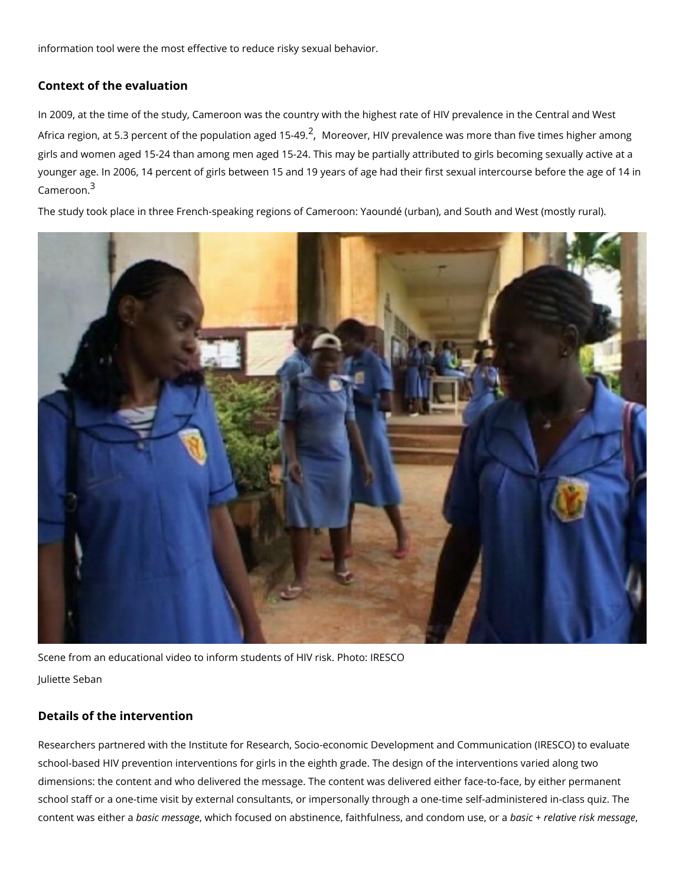information tool were the most effective to reduce risky sexual behavior.

Context of the evaluation

In 2009, at the time of the study, Cameroon was the country with the highest rate of HIV Africa region[,](#page-3-0) at 5.3 percent of the popullation and  $\theta$  and  $\theta$  alence was more than five time girls and women aged 15-24 than among men aged 15-24. This may be partially attributed younger age. In 2006, 14 percent of girls between 15 and 19 years of age had their first s  $C$ amero $\delta$ n.

The study took place in three French-speaking regions of Cameroon: Yaoundé (urban), and

Scene from an educational video to inform students of HIV risk. Photo: IRESCO Juliette Seban

Details of the intervention

Researchers partnered with the Institute for Research, Socio-economic Development and ( school-based HIV prevention interventions for girls in the eighth grade. The design of the dimensions: the content and who delivered the message. The content was delivered either school staff or a one-time visit by external consultants, or impersonally through a one-tin content was ebtahseinc ame s, swanbgiech focused on abstinence, faithfulness, baasni**d e**omed**atr**ivue sei,skormae: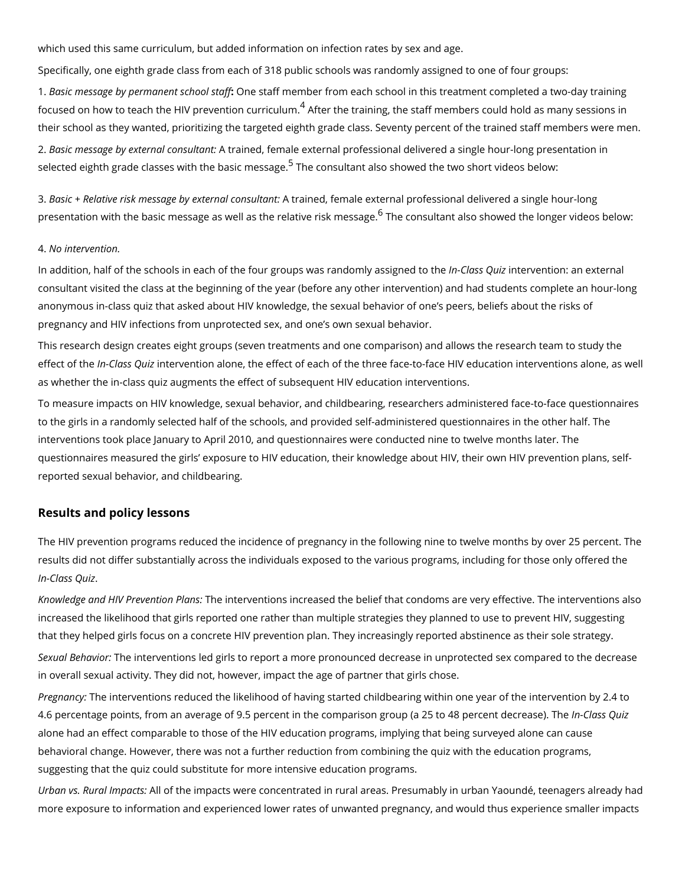which used this same curriculum, but added information on infection rates by sex and age. Specifically, one eighth grade class from each of 318 public schools was randomly assign 1. Basic message by permane One schaft and statish er from each school in this treatment complete focused on how to teach the HIV pre $\vartheta$ eAnfttioem the rtraining, the staff members could hold as their school as they wanted, prioritizing the targeted eighth grade class. Seventy percent 2. Basic message by externAaltroaoin sultant and external professional delivered a single hour-selected eighth grade classes with <sup>[5](#page-3-0)</sup>the basincs mless hagelso showed the two short videos belo

3. Basic + Relative risk message by Ae the airmend, commis alle a external professional delivered a single hourpresentation with the basic message as well as  $^6$  $^6$ theneredoantisvueltainstk anniseos ssenhopewed the longer vi

## 4. No intervention.

In addition, half of the schools in each of the four groups!nweStsars as ni**dd**ou einzh we an siscigneed teoxtenena consultant visited the class at the beginning of the year (before any other intervention) a anonymous in-class quiz that asked about HIV knowledge, the sexual behavior of one s pe pregnancy and HIV infections from unprotected sex, and one s own sexual behavior.

This research design creates eight groups (seven treatments and one comparison) and all effect of Inhelass iQuiezvention alone, the effect of each of the three face-to-face HIV education intervention as whether the in-class quiz augments the effect of subsequent HIV education interventio To measure impacts on HIV knowledge, sexual behavior, and childbearing, researchers ad to the girls in a randomly selected half of the schools, and provided self-administered qu interventions took place January to April 2010, and questionnaires were conducted nine to questionnaires measured the girls exposure to HIV education, their knowledge about HIV reported sexual behavior, and childbearing.

## Results and policy lessons

The HIV prevention programs reduced the incidence of pregnancy in the following nine to results did not differ substantially across the individuals exposed to the various programs In-Class. Quiz

Knowledge and HIV PrevTelmetion tePhanen stions increased the belief that condoms are very effed increased the likelihood that girls reported one rather than multiple strategies they plann that they helped girls focus on a concrete HIV prevention plan. They increasingly reported

Sexual Behatieo interventions led girls to report a more pronounced decrease in unprotecte in overall sexual activity. They did not, however, impact the age of partner that girls chos

Pregnant by: interventions reduced the likelihood of having started childbearing within one 4.6 percentage points, from an average of 9.5 percent in the comparison glroupd as 20 ution 4. alone had an effect comparable to those of the HIV education programs, implying that bei behavioral change. However, there was not a further reduction from combining the quiz wi suggesting that the quiz could substitute for more intensive education programs.

Urban vs. Rural Ampoafcthe impacts were concentrated in rural areas. Presumably in urban more exposure to information and experienced lower rates of unwanted pregnancy, and wo